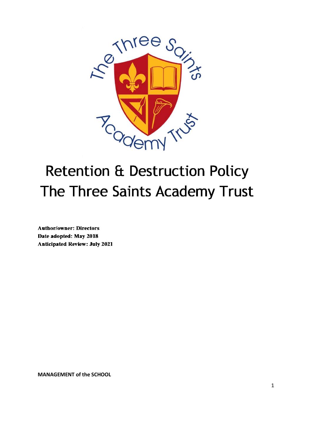

# **Retention & Destruction Policy** The Three Saints Academy Trust

**Author/owner: Directors** Date adopted: May 2018 **Anticipated Review: July 2021** 

**MANAGEMENT of the SCHOOL**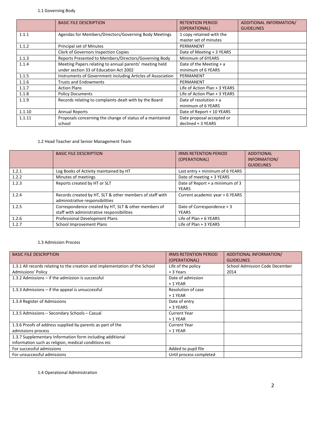## 1.1 Governing Body

|        | <b>BASIC FILE DESCRIPTION</b>                                                                     | <b>RETENTION PERIOD</b><br>(OPERATIONAL)          | ADDITIONAL INFORMATION/<br><b>GUIDELINES</b> |
|--------|---------------------------------------------------------------------------------------------------|---------------------------------------------------|----------------------------------------------|
| 1.1.1  | Agendas for Members/Directors/Governing Body Meetings                                             | 1 copy retained with the<br>master set of minutes |                                              |
| 1.1.2  | Principal set of Minutes                                                                          | PERMANENT                                         |                                              |
|        | <b>Clerk of Governors Inspection Copies</b>                                                       | Date of Meeting + 3 YEARS                         |                                              |
| 1.1.3  | Reports Presented to Members/Directors/Governing Body                                             | Minimum of 6YEARS                                 |                                              |
| 1.1.4  | Meeting Papers relating to annual parents' meeting held<br>under section 33 of Education Act 2002 | Date of the Meeting $+ a$<br>minimum of 6 YEARS   |                                              |
| 1.1.5  | Instruments of Government including Articles of Association                                       | PERMANENT                                         |                                              |
| 1.1.6  | <b>Trusts and Endowments</b>                                                                      | PERMANENT                                         |                                              |
| 1.1.7  | <b>Action Plans</b>                                                                               | Life of Action Plan + 3 YEARS                     |                                              |
| 1.1.8  | <b>Policy Documents</b>                                                                           | Life of Action Plan + 3 YEARS                     |                                              |
| 1.1.9  | Records relating to complaints dealt with by the Board                                            | Date of resolution $+ a$<br>minimum of 6 YEARS    |                                              |
| 1.1.10 | <b>Annual Reports</b>                                                                             | Date of Report + 10 YEARS                         |                                              |
| 1.1.11 | Proposals concerning the change of status of a maintained<br>school                               | Date proposal accepted or<br>declined + 3 YEARS   |                                              |

## 1.2 Head Teacher and Senior Management Team

|       | <b>BASIC FILE DESCRIPTION</b>                                                                      | <b>IRMS RETENTION PERIOD</b><br>(OPERATIONAL)   | <b>ADDITIONAL</b><br>INFORMATION/<br><b>GUIDELINES</b> |
|-------|----------------------------------------------------------------------------------------------------|-------------------------------------------------|--------------------------------------------------------|
| 1.2.1 | Log Books of Activity maintained by HT                                                             | Last entry + minimum of 6 YEARS                 |                                                        |
| 1.2.2 | Minutes of meetings                                                                                | Date of meeting + 3 YEARS                       |                                                        |
| 1.2.3 | Reports created by HT or SLT                                                                       | Date of Report + a minimum of 3<br><b>YEARS</b> |                                                        |
| 1.2.4 | Records created by HT, SLT & other members of staff with<br>administrative responsibilities        | Current academic year + 6 YEARS                 |                                                        |
| 1.2.5 | Correspondence created by HT, SLT & other members of<br>staff with administrative responsibilities | Date of Correspondence + 3<br><b>YEARS</b>      |                                                        |
| 1.2.6 | Professional Development Plans                                                                     | Life of Plan + 6 YEARS                          |                                                        |
| 1.2.7 | <b>School Improvement Plans</b>                                                                    | Life of Plan + 3 YEARS                          |                                                        |

#### 1.3 Admission Process

| <b>BASIC FILE DESCRIPTION</b>                                               | <b>IRMS RETENTION PERIOD</b> | ADDITIONAL INFORMATION/        |
|-----------------------------------------------------------------------------|------------------------------|--------------------------------|
|                                                                             | (OPERATIONAL)                | <b>GUIDELINES</b>              |
| 1.3.1 All records relating to the creation and implementation of the School | Life of the policy           | School Admission Code December |
| Admissions' Policy                                                          | + 3 Years                    | 2014                           |
| 1.3.2 Admissions $-$ if the admission is successful                         | Date of admission            |                                |
|                                                                             | $+1$ YEAR                    |                                |
| 1.3.3 Admissions $-$ if the appeal is unsuccessful                          | Resolution of case           |                                |
|                                                                             | $+1$ YEAR                    |                                |
| 1.3.4 Register of Admissions                                                | Date of entry                |                                |
|                                                                             | + 3 YEARS                    |                                |
| 1.3.5 Admissions – Secondary Schools – Casual                               | <b>Current Year</b>          |                                |
|                                                                             | $+1$ YEAR                    |                                |
| 1.3.6 Proofs of address supplied by parents as part of the                  | <b>Current Year</b>          |                                |
| admissions process                                                          | $+1$ YEAR                    |                                |
| 1.3.7 Supplementary Information form including additional                   |                              |                                |
| information such as religion, medical conditions etc                        |                              |                                |
| For successful admissions                                                   | Added to pupil file          |                                |
| For unsuccessful admissions                                                 | Until process completed      |                                |

1.4 Operational Administration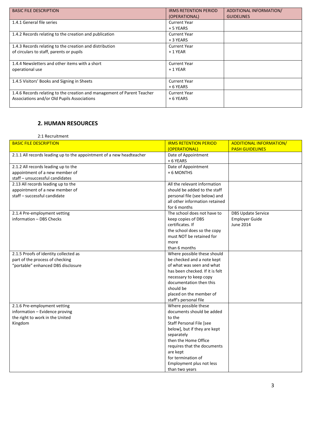| <b>BASIC FILE DESCRIPTION</b>                                                                                          | <b>IRMS RETENTION PERIOD</b><br>(OPERATIONAL) | ADDITIONAL INFORMATION/<br><b>GUIDELINES</b> |
|------------------------------------------------------------------------------------------------------------------------|-----------------------------------------------|----------------------------------------------|
| 1.4.1 General file series                                                                                              | <b>Current Year</b><br>+ 5 YEARS              |                                              |
| 1.4.2 Records relating to the creation and publication                                                                 | <b>Current Year</b><br>+ 3 YEARS              |                                              |
| 1.4.3 Records relating to the creation and distribution<br>of circulars to staff, parents or pupils                    | <b>Current Year</b><br>$+1$ YEAR              |                                              |
| 1.4.4 Newsletters and other items with a short<br>operational use                                                      | <b>Current Year</b><br>$+1$ YEAR              |                                              |
| 1.4.5 Visitors' Books and Signing in Sheets                                                                            | <b>Current Year</b><br>+ 6 YEARS              |                                              |
| 1.4.6 Records relating to the creation and management of Parent Teacher<br>Associations and/or Old Pupils Associations | <b>Current Year</b><br>+ 6 YEARS              |                                              |

# **2. HUMAN RESOURCES**

## 2:1 Recruitment

| <b>BASIC FILE DESCRIPTION</b>                                        | <b>IRMS RETENTION PERIOD</b>    | <b>ADDITIONAL INFORMATION/</b> |
|----------------------------------------------------------------------|---------------------------------|--------------------------------|
|                                                                      | (OPERATIONAL)                   | <b>PASH GUIDELINES</b>         |
| 2.1.1 All records leading up to the appointment of a new headteacher | Date of Appointment             |                                |
|                                                                      | + 6 YEARS                       |                                |
| 2.1.2 All records leading up to the                                  | Date of Appointment             |                                |
| appointment of a new member of                                       | + 6 MONTHS                      |                                |
| staff - unsuccessful candidates                                      |                                 |                                |
| 2.13 All records leading up to the                                   | All the relevant information    |                                |
| appointment of a new member of                                       | should be added to the staff    |                                |
| staff - successful candidate                                         | personal file (see below) and   |                                |
|                                                                      | all other information retained  |                                |
|                                                                      | for 6 months                    |                                |
| 2.1.4 Pre-employment vetting                                         | The school does not have to     | <b>DBS Update Service</b>      |
| information - DBS Checks                                             | keep copies of DBS              | <b>Employer Guide</b>          |
|                                                                      | certificates. If                | June 2014                      |
|                                                                      | the school does so the copy     |                                |
|                                                                      | must NOT be retained for        |                                |
|                                                                      | more                            |                                |
|                                                                      | than 6 months                   |                                |
| 2.1.5 Proofs of identity collected as                                | Where possible these should     |                                |
| part of the process of checking                                      | be checked and a note kept      |                                |
| "portable" enhanced DBS disclosure                                   | of what was seen and what       |                                |
|                                                                      | has been checked. If it is felt |                                |
|                                                                      | necessary to keep copy          |                                |
|                                                                      | documentation then this         |                                |
|                                                                      | should be                       |                                |
|                                                                      | placed on the member of         |                                |
|                                                                      | staff's personal file           |                                |
| 2.1.6 Pre-employment vetting                                         | Where possible these            |                                |
| information - Evidence proving                                       | documents should be added       |                                |
| the right to work in the United                                      | to the                          |                                |
| Kingdom                                                              | Staff Personal File [see        |                                |
|                                                                      | below], but if they are kept    |                                |
|                                                                      | separately                      |                                |
|                                                                      | then the Home Office            |                                |
|                                                                      | requires that the documents     |                                |
|                                                                      | are kept                        |                                |
|                                                                      | for termination of              |                                |
|                                                                      | Employment plus not less        |                                |
|                                                                      | than two years                  |                                |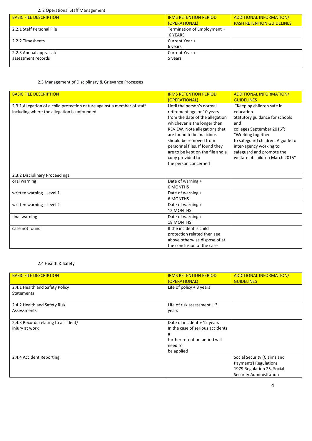#### 2. 2 Operational Staff Management

| <b>BASIC FILE DESCRIPTION</b> | <b>IRMS RETENTION PERIOD</b> | <b>ADDITIONAL INFORMATION/</b>   |
|-------------------------------|------------------------------|----------------------------------|
|                               | (OPERATIONAL)                | <b>PASH RETENTION GUIDELINES</b> |
| 2.2.1 Staff Personal File     | Termination of Employment +  |                                  |
|                               | 6 YEARS                      |                                  |
| 2.2.2 Timesheets              | Current Year +               |                                  |
|                               | 6 years                      |                                  |
| 2.2.3 Annual appraisal/       | Current Year +               |                                  |
| assessment records            | 5 years                      |                                  |
|                               |                              |                                  |

#### 2.3 Management of Disciplinary & Grievance Processes

| <b>BASIC FILE DESCRIPTION</b>                                           | <b>IRMS RETENTION PERIOD</b>     | <b>ADDITIONAL INFORMATION/</b>    |
|-------------------------------------------------------------------------|----------------------------------|-----------------------------------|
|                                                                         | (OPERATIONAL)                    | <b>GUIDELINES</b>                 |
| 2.3.1 Allegation of a child protection nature against a member of staff | Until the person's normal        | "Keeping children safe in         |
| including where the allegation is unfounded                             | retirement age or 10 years       | education                         |
|                                                                         | from the date of the allegation  | Statutory guidance for schools    |
|                                                                         | whichever is the longer then     | and                               |
|                                                                         | REVIEW. Note allegations that    | colleges September 2016";         |
|                                                                         | are found to be malicious        | "Working together                 |
|                                                                         | should be removed from           | to safeguard children. A guide to |
|                                                                         | personnel files. If found they   | inter-agency working to           |
|                                                                         | are to be kept on the file and a | safeguard and promote the         |
|                                                                         | copy provided to                 | welfare of children March 2015"   |
|                                                                         | the person concerned             |                                   |
|                                                                         |                                  |                                   |
| 2.3.2 Disciplinary Proceedings                                          |                                  |                                   |
| oral warning                                                            | Date of warning +                |                                   |
|                                                                         | <b>6 MONTHS</b>                  |                                   |
| written warning - level 1                                               | Date of warning +                |                                   |
|                                                                         | <b>6 MONTHS</b>                  |                                   |
| written warning - level 2                                               | Date of warning +                |                                   |
|                                                                         | <b>12 MONTHS</b>                 |                                   |
| final warning                                                           | Date of warning +                |                                   |
|                                                                         | <b>18 MONTHS</b>                 |                                   |
| case not found                                                          | If the incident is child         |                                   |
|                                                                         | protection related then see      |                                   |
|                                                                         | above otherwise dispose of at    |                                   |
|                                                                         | the conclusion of the case       |                                   |

## 2.4 Health & Safety

| <b>BASIC FILE DESCRIPTION</b>       | <b>IRMS RETENTION PERIOD</b>     | <b>ADDITIONAL INFORMATION/</b> |
|-------------------------------------|----------------------------------|--------------------------------|
|                                     | <u>(OPERATIONAL)</u>             | <b>GUIDELINES</b>              |
| 2.4.1 Health and Safety Policy      | Life of policy $+3$ years        |                                |
| <b>Statements</b>                   |                                  |                                |
|                                     |                                  |                                |
| 2.4.2 Health and Safety Risk        | Life of risk assessment $+3$     |                                |
| Assessments                         | years                            |                                |
|                                     |                                  |                                |
| 2.4.3 Records relating to accident/ | Date of incident + 12 years      |                                |
| injury at work                      | In the case of serious accidents |                                |
|                                     | a                                |                                |
|                                     | further retention period will    |                                |
|                                     | need to                          |                                |
|                                     | be applied                       |                                |
| 2.4.4 Accident Reporting            |                                  | Social Security (Claims and    |
|                                     |                                  | Payments) Regulations          |
|                                     |                                  | 1979 Regulation 25. Social     |
|                                     |                                  | Security Administration        |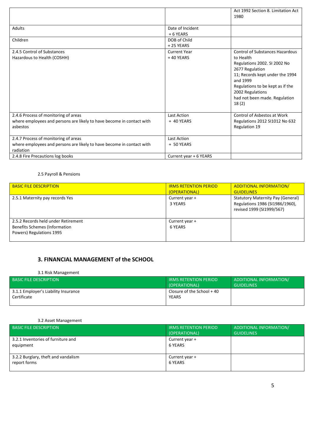|                                                                                                                            |                                    | Act 1992 Section 8. Limitation Act<br>1980                                                                                                                                                                                                              |
|----------------------------------------------------------------------------------------------------------------------------|------------------------------------|---------------------------------------------------------------------------------------------------------------------------------------------------------------------------------------------------------------------------------------------------------|
| <b>Adults</b>                                                                                                              | Date of Incident<br>+ 6 YEARS      |                                                                                                                                                                                                                                                         |
| Children                                                                                                                   | DOB of Child<br>+25 YEARS          |                                                                                                                                                                                                                                                         |
| 2.4.5 Control of Substances<br>Hazardous to Health (COSHH)                                                                 | <b>Current Year</b><br>$+40$ YEARS | <b>Control of Substances Hazardous</b><br>to Health<br>Regulations 2002. SI 2002 No<br>2677 Regulation<br>11; Records kept under the 1994<br>and 1999<br>Regulations to be kept as if the<br>2002 Regulations<br>had not been made. Regulation<br>18(2) |
| 2.4.6 Process of monitoring of areas<br>where employees and persons are likely to have become in contact with<br>asbestos  | <b>Last Action</b><br>+ 40 YEARS   | Control of Asbestos at Work<br>Regulations 2012 SI1012 No 632<br>Regulation 19                                                                                                                                                                          |
| 2.4.7 Process of monitoring of areas<br>where employees and persons are likely to have become in contact with<br>radiation | <b>Last Action</b><br>+ 50 YEARS   |                                                                                                                                                                                                                                                         |
| 2.4.8 Fire Precautions log books                                                                                           | Current year + 6 YEARS             |                                                                                                                                                                                                                                                         |

#### 2.5 Payroll & Pensions

| <b>BASIC FILE DESCRIPTION</b>                                                                           | <b>IRMS RETENTION PERIOD</b><br>(OPERATIONAL) | <b>ADDITIONAL INFORMATION/</b><br><b>GUIDELINES</b>                                                      |
|---------------------------------------------------------------------------------------------------------|-----------------------------------------------|----------------------------------------------------------------------------------------------------------|
| 2.5.1 Maternity pay records Yes                                                                         | Current year +<br>3 YEARS                     | <b>Statutory Maternity Pay (General)</b><br>Regulations 1986 (SI1986/1960),<br>revised 1999 (SI1999/567) |
| 2.5.2 Records held under Retirement<br><b>Benefits Schemes (Information</b><br>Powers) Regulations 1995 | Current year +<br>6 YEARS                     |                                                                                                          |

# **3. FINANCIAL MANAGEMENT of the SCHOOL**

#### 3.1 Risk Management

| BASIC FILE DESCRIPTION '                            | <b>IRMS RETENTION PERIOD</b><br>(OPERATIONAL) | ADDITIONAL INFORMATION/<br><b>GUIDELINES</b> |
|-----------------------------------------------------|-----------------------------------------------|----------------------------------------------|
| 3.1.1 Employer's Liability Insurance<br>Certificate | Closure of the School $+40$<br>YEARS          |                                              |
|                                                     |                                               |                                              |

#### 3.2 Asset Management

| <b>BASIC FILE DESCRIPTION</b>                       | <b>IRMS RETENTION PERIOD</b><br>(OPERATIONAL) | ADDITIONAL INFORMATION/<br><b>GUIDELINES</b> |
|-----------------------------------------------------|-----------------------------------------------|----------------------------------------------|
| 3.2.1 Inventories of furniture and<br>equipment     | Current year +<br>6 YEARS                     |                                              |
| 3.2.2 Burglary, theft and vandalism<br>report forms | Current year +<br>6 YEARS                     |                                              |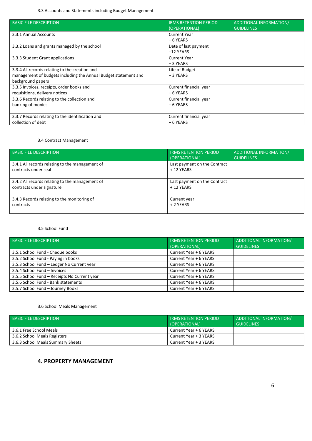3.3 Accounts and Statements including Budget Management

| <b>BASIC FILE DESCRIPTION</b>                                   | <b>IRMS RETENTION PERIOD</b> |                                |
|-----------------------------------------------------------------|------------------------------|--------------------------------|
|                                                                 |                              | <b>ADDITIONAL INFORMATION/</b> |
|                                                                 | (OPERATIONAL)                | <b>GUIDELINES</b>              |
| 3.3.1 Annual Accounts                                           | <b>Current Year</b>          |                                |
|                                                                 | $+6$ YEARS                   |                                |
| 3.3.2 Loans and grants managed by the school                    | Date of last payment         |                                |
|                                                                 | +12 YEARS                    |                                |
| 3.3.3 Student Grant applications                                | <b>Current Year</b>          |                                |
|                                                                 | + 3 YEARS                    |                                |
| 3.3.4 All records relating to the creation and                  | Life of Budget               |                                |
| management of budgets including the Annual Budget statement and | + 3 YEARS                    |                                |
| background papers                                               |                              |                                |
| 3.3.5 Invoices, receipts, order books and                       | Current financial year       |                                |
| requisitions, delivery notices                                  | + 6 YEARS                    |                                |
| 3.3.6 Records relating to the collection and                    | Current financial year       |                                |
| banking of monies                                               | + 6 YEARS                    |                                |
|                                                                 |                              |                                |
| 3.3.7 Records relating to the identification and                | Current financial year       |                                |
| collection of debt                                              | + 6 YEARS                    |                                |

#### 3.4 Contract Management

| <b>BASIC FILE DESCRIPTION</b>                                                | <b>IRMS RETENTION PERIOD</b><br>(OPERATIONAL) | ADDITIONAL INFORMATION/<br><b>GUIDELINES</b> |
|------------------------------------------------------------------------------|-----------------------------------------------|----------------------------------------------|
| 3.4.1 All records relating to the management of<br>contracts under seal      | Last payment on the Contract<br>$+12$ YEARS   |                                              |
| 3.4.2 All records relating to the management of<br>contracts under signature | Last payment on the Contract<br>$+12$ YEARS   |                                              |
| 3.4.3 Records relating to the monitoring of<br>contracts                     | Current year<br>+ 2 YEARS                     |                                              |

#### 3.5 School Fund

| <b>BASIC FILE DESCRIPTION</b>                | <b>IRMS RETENTION PERIOD</b><br>(OPERATIONAL) | ADDITIONAL INFORMATION/<br><b>GUIDELINES</b> |
|----------------------------------------------|-----------------------------------------------|----------------------------------------------|
| 3.5.1 School Fund - Cheque books             | Current Year + 6 YEARS                        |                                              |
| 3.5.2 School Fund - Paying in books          | Current Year + 6 YEARS                        |                                              |
| 3.5.3 School Fund - Ledger No Current year   | Current Year + 6 YEARS                        |                                              |
| 3.5.4 School Fund - Invoices                 | Current Year + 6 YEARS                        |                                              |
| 3.5.5 School Fund - Receipts No Current year | Current Year + 6 YEARS                        |                                              |
| 3.5.6 School Fund - Bank statements          | Current Year + 6 YEARS                        |                                              |
| 3.5.7 School Fund - Journey Books            | Current Year + 6 YEARS                        |                                              |

#### 3.6 School Meals Management

| <b>BASIC FILE DESCRIPTION</b>     | <b>IRMS RETENTION PERIOD</b><br>(OPERATIONAL) | ADDITIONAL INFORMATION/<br><b>GUIDELINES</b> |
|-----------------------------------|-----------------------------------------------|----------------------------------------------|
| 3.6.1 Free School Meals           | Current Year + 6 YEARS                        |                                              |
| 3.6.2 School Meals Registers      | Current Year + 3 YEARS                        |                                              |
| 3.6.3 School Meals Summary Sheets | Current Year + 3 YEARS                        |                                              |

# **4. PROPERTY MANAGEMENT**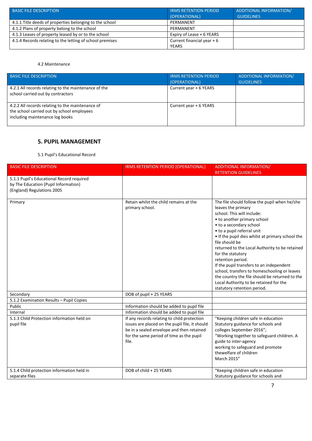| <b>BASIC FILE DESCRIPTION</b>                            | <b>IRMS RETENTION PERIOD</b><br>(OPERATIONAL) | ADDITIONAL INFORMATION/<br><b>GUIDELINES</b> |
|----------------------------------------------------------|-----------------------------------------------|----------------------------------------------|
| 4.1.1 Title deeds of properties belonging to the school  | PERMANENT                                     |                                              |
| 4.1.2 Plans of property belong to the school             | PERMANENT                                     |                                              |
| 4.1.3 Leases of property leased by or to the school      | Expiry of Lease + 6 YEARS                     |                                              |
| 4.1.4 Records relating to the letting of school premises | Current financial year $+6$                   |                                              |
|                                                          | <b>YEARS</b>                                  |                                              |

#### 4.2 Maintenance

| <b>BASIC FILE DESCRIPTION</b>                                                                                                     | <b>IRMS RETENTION PERIOD</b><br>(OPERATIONAL) | ADDITIONAL INFORMATION/<br><b>GUIDELINES</b> |
|-----------------------------------------------------------------------------------------------------------------------------------|-----------------------------------------------|----------------------------------------------|
| 4.2.1 All records relating to the maintenance of the<br>school carried out by contractors                                         | Current year + 6 YEARS                        |                                              |
| 4.2.2 All records relating to the maintenance of<br>the school carried out by school employees<br>including maintenance log books | Current year + 6 YEARS                        |                                              |

# **5. PUPIL MANAGEMENT**

#### 5.1 Pupil's Educational Record

| <b>BASIC FILE DESCRIPTION</b>                                                                                   | IRMS RETENTION PERIOD (OPERATIONAL)                                                                                                                                                             | ADDITIONAL INFORMATION/                                                                                                                                                                                                                                                                                                                                                                                                                                                                                                                                                           |
|-----------------------------------------------------------------------------------------------------------------|-------------------------------------------------------------------------------------------------------------------------------------------------------------------------------------------------|-----------------------------------------------------------------------------------------------------------------------------------------------------------------------------------------------------------------------------------------------------------------------------------------------------------------------------------------------------------------------------------------------------------------------------------------------------------------------------------------------------------------------------------------------------------------------------------|
|                                                                                                                 |                                                                                                                                                                                                 | <b>RETENTION GUIDELINES</b>                                                                                                                                                                                                                                                                                                                                                                                                                                                                                                                                                       |
| 5.1.1 Pupil's Educational Record required<br>by The Education (Pupil Information)<br>(England) Regulations 2005 |                                                                                                                                                                                                 |                                                                                                                                                                                                                                                                                                                                                                                                                                                                                                                                                                                   |
| Primary                                                                                                         | Retain whilst the child remains at the<br>primary school.                                                                                                                                       | The file should follow the pupil when he/she<br>leaves the primary<br>school. This will include:<br>• to another primary school<br>• to a secondary school<br>• to a pupil referral unit<br>• If the pupil dies whilst at primary school the<br>file should be<br>returned to the Local Authority to be retained<br>for the statutory<br>retention period.<br>If the pupil transfers to an independent<br>school, transfers to homeschooling or leaves<br>the country the file should be returned to the<br>Local Authority to be retained for the<br>statutory retention period. |
| Secondary                                                                                                       | DOB of pupil + 25 YEARS                                                                                                                                                                         |                                                                                                                                                                                                                                                                                                                                                                                                                                                                                                                                                                                   |
| 5.1.2 Examination Results - Pupil Copies                                                                        |                                                                                                                                                                                                 |                                                                                                                                                                                                                                                                                                                                                                                                                                                                                                                                                                                   |
| Public                                                                                                          | Information should be added to pupil file                                                                                                                                                       |                                                                                                                                                                                                                                                                                                                                                                                                                                                                                                                                                                                   |
| Internal                                                                                                        | Information should be added to pupil file                                                                                                                                                       |                                                                                                                                                                                                                                                                                                                                                                                                                                                                                                                                                                                   |
| 5.1.3 Child Protection information held on<br>pupil file                                                        | If any records relating to child protection<br>issues are placed on the pupil file, it should<br>be in a sealed envelope and then retained<br>for the same period of time as the pupil<br>file. | "Keeping children safe in education<br>Statutory guidance for schools and<br>colleges September 2016";<br>"Working together to safeguard children. A<br>guide to inter-agency<br>working to safeguard and promote<br>thewelfare of children<br>March 2015"                                                                                                                                                                                                                                                                                                                        |
| 5.1.4 Child protection information held in<br>separate files                                                    | DOB of child + 25 YEARS                                                                                                                                                                         | "Keeping children safe in education<br>Statutory guidance for schools and                                                                                                                                                                                                                                                                                                                                                                                                                                                                                                         |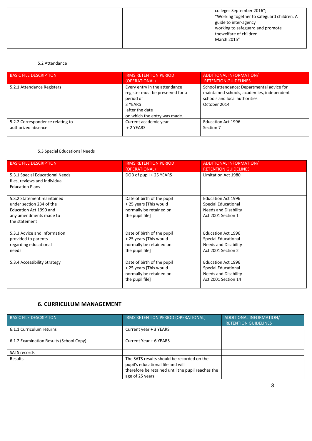#### 5.2 Attendance

| <b>BASIC FILE DESCRIPTION</b>    | <b>IRMS RETENTION PERIOD</b><br>(OPERATIONAL)                                                                                               | ADDITIONAL INFORMATION/<br><b>RETENTION GUIDELINES</b>                                                                                    |
|----------------------------------|---------------------------------------------------------------------------------------------------------------------------------------------|-------------------------------------------------------------------------------------------------------------------------------------------|
| 5.2.1 Attendance Registers       | Every entry in the attendance<br>register must be preserved for a<br>period of<br>3 YEARS<br>after the date<br>on which the entry was made. | School attendance: Departmental advice for<br>maintained schools, academies, independent<br>schools and local authorities<br>October 2014 |
| 5.2.2 Correspondence relating to | Current academic year                                                                                                                       | <b>Education Act 1996</b>                                                                                                                 |
| authorized absence               | + 2 YEARS                                                                                                                                   | Section 7                                                                                                                                 |

#### 5.3 Special Educational Needs

| <b>BASIC FILE DESCRIPTION</b>                                    | <b>IRMS RETENTION PERIOD</b><br>(OPERATIONAL) | ADDITIONAL INFORMATION/<br><b>RETENTION GUIDELINES</b> |
|------------------------------------------------------------------|-----------------------------------------------|--------------------------------------------------------|
| 5.3.1 Special Educational Needs<br>files, reviews and Individual | DOB of pupil + 25 YEARS                       | Limitation Act 1980                                    |
| <b>Education Plans</b>                                           |                                               |                                                        |
|                                                                  |                                               |                                                        |
| 5.3.2 Statement maintained                                       | Date of birth of the pupil                    | <b>Education Act 1996</b>                              |
| under section 234 of the                                         | +25 years [This would                         | Special Educational                                    |
| Education Act 1990 and                                           | normally be retained on                       | <b>Needs and Disability</b>                            |
| any amendments made to                                           | the pupil file]                               | Act 2001 Section 1                                     |
| the statement                                                    |                                               |                                                        |
|                                                                  |                                               |                                                        |
| 5.3.3 Advice and information                                     | Date of birth of the pupil                    | <b>Education Act 1996</b>                              |
| provided to parents                                              | +25 years [This would                         | Special Educational                                    |
| regarding educational                                            | normally be retained on                       | <b>Needs and Disability</b>                            |
| needs                                                            | the pupil file]                               | Act 2001 Section 2                                     |
|                                                                  |                                               |                                                        |
| 5.3.4 Accessibility Strategy                                     | Date of birth of the pupil                    | <b>Education Act 1996</b>                              |
|                                                                  | +25 years [This would                         | <b>Special Educational</b>                             |
|                                                                  | normally be retained on                       | Needs and Disability                                   |
|                                                                  | the pupil file]                               | Act 2001 Section 14                                    |
|                                                                  |                                               |                                                        |

# **6. CURRICULUM MANAGEMENT**

| <b>BASIC FILE DESCRIPTION</b>           | IRMS RETENTION PERIOD (OPERATIONAL)                                                                                                                      | ADDITIONAL INFORMATION/<br><b>RETENTION GUIDELINES</b> |
|-----------------------------------------|----------------------------------------------------------------------------------------------------------------------------------------------------------|--------------------------------------------------------|
| 6.1.1 Curriculum returns                | Current year + 3 YEARS                                                                                                                                   |                                                        |
| 6.1.2 Examination Results (School Copy) | Current Year + 6 YEARS                                                                                                                                   |                                                        |
| SATS records                            |                                                                                                                                                          |                                                        |
| Results                                 | The SATS results should be recorded on the<br>pupil's educational file and will<br>therefore be retained until the pupil reaches the<br>age of 25 years. |                                                        |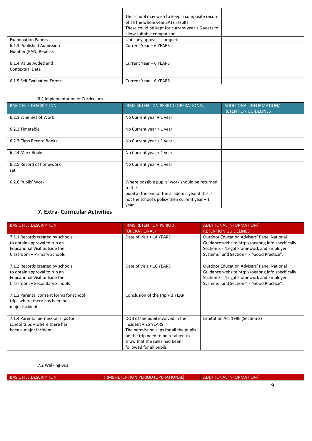|                                                   | The school may wish to keep a composite record<br>of all the whole year SATs results.<br>These could be kept for current year + 6 years to<br>allow suitable comparison |  |
|---------------------------------------------------|-------------------------------------------------------------------------------------------------------------------------------------------------------------------------|--|
| <b>Examination Papers</b>                         | Until any appeal is complete                                                                                                                                            |  |
| 6.1.3 Published Admission<br>Number (PAN) Reports | Current Year + 6 YEARS                                                                                                                                                  |  |
| 6.1.4 Value Added and<br>Contextual Data          | Current Year + 6 YEARS                                                                                                                                                  |  |
| 6.1.5 Self Evaluation Forms                       | Current Year + 6 YEARS                                                                                                                                                  |  |

#### 6.2 Implementation of Curriculum

| <b>BASIC FILE DESCRIPTION</b>   | IRMS RETENTION PERIOD (OPERATIONAL)                                                                                                                                    | ADDITIONAL INFORMATION/<br><b>RETENTION GUIDELINES</b> |
|---------------------------------|------------------------------------------------------------------------------------------------------------------------------------------------------------------------|--------------------------------------------------------|
| 6.2.1 Schemes of Work           | No Current year + 1 year                                                                                                                                               |                                                        |
| 6.2.2 Timetable                 | No Current year + 1 year                                                                                                                                               |                                                        |
| 6.2.3 Class Record Books        | No Current year + 1 year                                                                                                                                               |                                                        |
| 6.2.4 Mark Books                | No Current year + 1 year                                                                                                                                               |                                                        |
| 6.2.5 Record of homework<br>set | No Current year + 1 year                                                                                                                                               |                                                        |
| 6.2.6 Pupils' Work<br>________  | Where possible pupils' work should be returned<br>to the<br>pupil at the end of the academic year if this is<br>not the school's policy then current year $+1$<br>year |                                                        |

# **7. Extra- Curricular Activities**

| <b>BASIC FILE DESCRIPTION</b>                                                                                                      | <b>IRMS RETENTION PERIOD</b><br>(OPERATIONAL)                                                                                                                                                       | <b>ADDITIONAL INFORMATION/</b><br><b>RETENTION GUIDELINES</b>                                                                                                                                   |
|------------------------------------------------------------------------------------------------------------------------------------|-----------------------------------------------------------------------------------------------------------------------------------------------------------------------------------------------------|-------------------------------------------------------------------------------------------------------------------------------------------------------------------------------------------------|
| 7.1.1 Records created by schools<br>to obtain approval to run an<br>Educational Visit outside the<br>Classroom - Primary Schools   | Date of visit + 14 YEARS                                                                                                                                                                            | <b>Outdoor Education Advisers' Panel National</b><br>Guidance website http://oeapng.info specifically<br>Section 3 - "Legal Framework and Employer<br>Systems" and Section 4 - "Good Practice". |
| 7.1.2 Records created by schools<br>to obtain approval to run an<br>Educational Visit outside the<br>Classroom - Secondary Schools | Date of visit + 10 YEARS                                                                                                                                                                            | <b>Outdoor Education Advisers' Panel National</b><br>Guidance website http://oeapng.info specifically<br>Section 3 - "Legal Framework and Employer<br>Systems" and Section 4 - "Good Practice". |
| 7.1.3 Parental consent forms for school<br>trips where there has been no<br>major incident                                         | Conclusion of the trip $+1$ YEAR                                                                                                                                                                    |                                                                                                                                                                                                 |
| 7.1.4 Parental permission slips for<br>school trips - where there has<br>been a major incident                                     | DOB of the pupil involved in the<br>incident + 25 YEARS<br>The permission slips for all the pupils<br>on the trip need to be retained to<br>show that the rules had been<br>followed for all pupils | Limitation Act 1980 (Section 2)                                                                                                                                                                 |

## 7.2 Walking Bus

BASIC FILE DESCRIPTION **IRMS RETENTION PERIOD (OPERATIONAL)** ADDITIONAL INFORMATION/